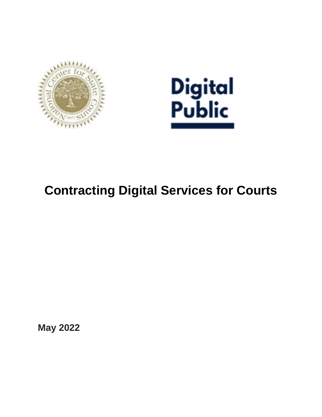



# **Contracting Digital Services for Courts**

**May 2022**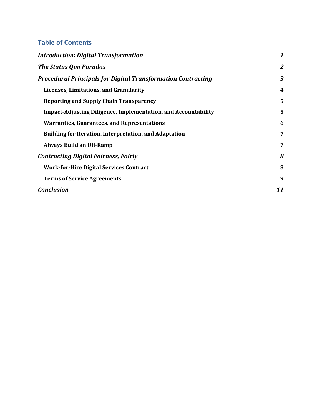# **Table of Contents**

| <b>Introduction: Digital Transformation</b>                           | $\boldsymbol{1}$        |
|-----------------------------------------------------------------------|-------------------------|
| <b>The Status Quo Paradox</b>                                         | $\overline{2}$          |
| <b>Procedural Principals for Digital Transformation Contracting</b>   | 3                       |
| Licenses, Limitations, and Granularity                                | $\overline{\mathbf{4}}$ |
| <b>Reporting and Supply Chain Transparency</b>                        | 5                       |
| <b>Impact-Adjusting Diligence, Implementation, and Accountability</b> | 5                       |
| <b>Warranties, Guarantees, and Representations</b>                    | 6                       |
| <b>Building for Iteration, Interpretation, and Adaptation</b>         | 7                       |
| <b>Always Build an Off-Ramp</b>                                       | 7                       |
| <b>Contracting Digital Fairness, Fairly</b>                           | 8                       |
| <b>Work-for-Hire Digital Services Contract</b>                        | 8                       |
| <b>Terms of Service Agreements</b>                                    | 9                       |
| <b>Conclusion</b>                                                     | 11                      |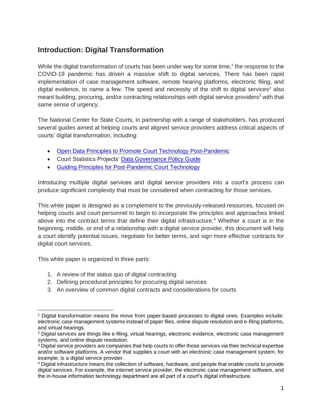# <span id="page-2-0"></span>**Introduction: Digital Transformation**

While the digital transformation of courts has been under way for some time,<sup>1</sup> the response to the COVID-19 pandemic has driven a massive shift to digital services. There has been rapid implementation of case management software, remote hearing platforms, electronic filing, and digital evidence, to name a few. The speed and necessity of the shift to digital services<sup>2</sup> also meant building, procuring, and/or contracting relationships with digital service providers<sup>3</sup> with that same sense of urgency.

The National Center for State Courts, in partnership with a range of stakeholders, has produced several guides aimed at helping courts and aligned service providers address critical aspects of courts' digital transformation, including:

- [Open Data Principles to Promote Court Technology Post-Pandemic](https://www.ncsc.org/__data/assets/pdf_file/0028/59671/Open-Data-Principles-Corrected-2.pdf)
- Court Statistics Projects' [Data Governance Policy Guide](https://www.courtstatistics.org/state-courts/data-governance-policy-guide)
- [Guiding Principles for Post-Pandemic Court Technology](https://www.ncsc.org/__data/assets/pdf_file/0014/42332/Guiding-Principles-for-Court-Technology.pdf)

Introducing multiple digital services and digital service providers into a court's process can produce significant complexity that must be considered when contracting for those services.

This white paper is designed as a complement to the previously-released resources, focused on helping courts and court personnel to begin to incorporate the principles and approaches linked above into the contract terms that define their digital infrastructure.<sup>4</sup> Whether a court is in the beginning, middle, or end of a relationship with a digital service provider, this document will help a court identify potential issues, negotiate for better terms, and sign more effective contracts for digital court services.

This white paper is organized in three parts:

- 1. A review of the status quo of digital contracting
- 2. Defining procedural principles for procuring digital services
- 3. An overview of common digital contracts and considerations for courts

<sup>1</sup> Digital transformation means the move from paper-based processes to digital ones. Examples include: electronic case management systems instead of paper files, online dispute resolution and e-filing platforms, and virtual hearings.

<sup>&</sup>lt;sup>2</sup> Digital services are things like e-filing, virtual hearings, electronic evidence, electronic case management systems, and online dispute resolution.

<sup>&</sup>lt;sup>3</sup> Digital service providers are companies that help courts to offer those services via their technical expertise and/or software platforms. A vendor that supplies a court with an electronic case management system, for example, is a digital service provider.

<sup>4</sup> Digital infrastructure means the collection of software, hardware, and people that enable courts to provide digital services. For example, the internet service provider, the electronic case management software, and the in-house information technology department are all part of a court's digital infrastructure.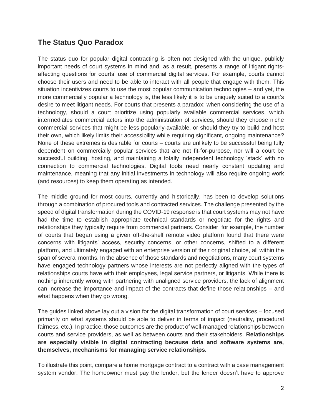# <span id="page-3-0"></span>**The Status Quo Paradox**

The status quo for popular digital contracting is often not designed with the unique, publicly important needs of court systems in mind and, as a result, presents a range of litigant rightsaffecting questions for courts' use of commercial digital services. For example, courts cannot choose their users and need to be able to interact with all people that engage with them. This situation incentivizes courts to use the most popular communication technologies – and yet, the more commercially popular a technology is, the less likely it is to be uniquely suited to a court's desire to meet litigant needs. For courts that presents a paradox: when considering the use of a technology, should a court prioritize using popularly available commercial services, which intermediates commercial actors into the administration of services, should they choose niche commercial services that might be less popularly-available, or should they try to build and host their own, which likely limits their accessibility while requiring significant, ongoing maintenance? None of these extremes is desirable for courts – courts are unlikely to be successful being fully dependent on commercially popular services that are not fit-for-purpose, nor will a court be successful building, hosting, and maintaining a totally independent technology 'stack' with no connection to commercial technologies. Digital tools need nearly constant updating and maintenance, meaning that any initial investments in technology will also require ongoing work (and resources) to keep them operating as intended.

The middle ground for most courts, currently and historically, has been to develop solutions through a combination of procured tools and contracted services. The challenge presented by the speed of digital transformation during the COVID-19 response is that court systems may not have had the time to establish appropriate technical standards or negotiate for the rights and relationships they typically require from commercial partners. Consider, for example, the number of courts that began using a given off-the-shelf remote video platform found that there were concerns with litigants' access, security concerns, or other concerns, shifted to a different platform, and ultimately engaged with an enterprise version of their original choice, all within the span of several months. In the absence of those standards and negotiations, many court systems have engaged technology partners whose interests are not perfectly aligned with the types of relationships courts have with their employees, legal service partners, or litigants. While there is nothing inherently wrong with partnering with unaligned service providers, the lack of alignment can increase the importance and impact of the contracts that define those relationships – and what happens when they go wrong.

The guides linked above lay out a vision for the digital transformation of court services – focused primarily on what systems should be able to deliver in terms of impact (neutrality, procedural fairness, etc.). In practice, those outcomes are the product of well-managed relationships between courts and service providers, as well as between courts and their stakeholders. **Relationships are especially visible in digital contracting because data and software systems are, themselves, mechanisms for managing service relationships.**

To illustrate this point, compare a home mortgage contract to a contract with a case management system vendor. The homeowner must pay the lender, but the lender doesn't have to approve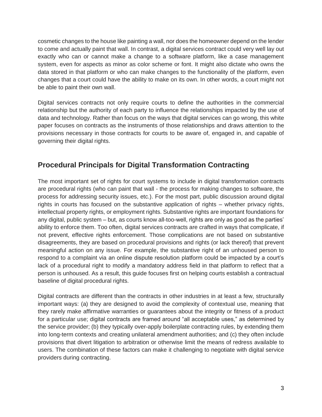cosmetic changes to the house like painting a wall, nor does the homeowner depend on the lender to come and actually paint that wall. In contrast, a digital services contract could very well lay out exactly who can or cannot make a change to a software platform, like a case management system, even for aspects as minor as color scheme or font. It might also dictate who owns the data stored in that platform or who can make changes to the functionality of the platform, even changes that a court could have the ability to make on its own. In other words, a court might not be able to paint their own wall.

Digital services contracts not only require courts to define the authorities in the commercial relationship but the authority of each party to influence the relationships impacted by the use of data and technology. Rather than focus on the ways that digital services can go wrong, this white paper focuses on contracts as the instruments of those relationships and draws attention to the provisions necessary in those contracts for courts to be aware of, engaged in, and capable of governing their digital rights.

# <span id="page-4-0"></span>**Procedural Principals for Digital Transformation Contracting**

The most important set of rights for court systems to include in digital transformation contracts are procedural rights (who can paint that wall - the process for making changes to software, the process for addressing security issues, etc.). For the most part, public discussion around digital rights in courts has focused on the substantive application of rights – whether privacy rights, intellectual property rights, or employment rights. Substantive rights are important foundations for any digital, public system – but, as courts know all-too-well, rights are only as good as the parties' ability to enforce them. Too often, digital services contracts are crafted in ways that complicate, if not prevent, effective rights enforcement. Those complications are not based on substantive disagreements, they are based on procedural provisions and rights (or lack thereof) that prevent meaningful action on any issue. For example, the substantive right of an unhoused person to respond to a complaint via an online dispute resolution platform could be impacted by a court's lack of a procedural right to modify a mandatory address field in that platform to reflect that a person is unhoused. As a result, this guide focuses first on helping courts establish a contractual baseline of digital procedural rights.

Digital contracts are different than the contracts in other industries in at least a few, structurally important ways: (a) they are designed to avoid the complexity of contextual use, meaning that they rarely make affirmative warranties or guarantees about the integrity or fitness of a product for a particular use; digital contracts are framed around "all acceptable uses," as determined by the service provider; (b) they typically over-apply boilerplate contracting rules, by extending them into long-term contexts and creating unilateral amendment authorities; and (c) they often include provisions that divert litigation to arbitration or otherwise limit the means of redress available to users. The combination of these factors can make it challenging to negotiate with digital service providers during contracting.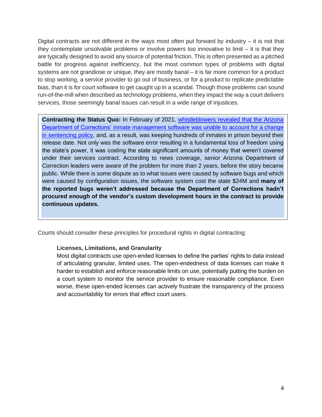Digital contracts are not different in the ways most often put forward by industry – it is not that they contemplate unsolvable problems or involve powers too innovative to limit – it is that they are typically designed to avoid any source of potential friction. This is often presented as a pitched battle for progress against inefficiency, but the most common types of problems with digital systems are not grandiose or unique, they are mostly banal – it is far more common for a product to stop working, a service provider to go out of business, or for a product to replicate predictable bias, than it is for court software to get caught up in a scandal. Though those problems can sound run-of-the-mill when described as technology problems, when they impact the way a court delivers services, those seemingly banal issues can result in a wide range of injustices.

**Contracting the Status Quo:** In February of 2021, [whistleblowers revealed that the Arizona](https://gizmodo.com/software-bug-keeps-arizona-prisoners-behind-bars-past-r-1846327969)  Department of Corrections' inmate [management software was unable to account for a change](https://gizmodo.com/software-bug-keeps-arizona-prisoners-behind-bars-past-r-1846327969)  [in sentencing policy,](https://gizmodo.com/software-bug-keeps-arizona-prisoners-behind-bars-past-r-1846327969) and, as a result, was keeping hundreds of inmates in prison beyond their release date. Not only was the software error resulting in a fundamental loss of freedom using the state's power, it was costing the state significant amounts of money that weren't covered under their services contract. According to news coverage, senior Arizona Department of Correction leaders were aware of the problem for more than 2 years, before the story became public. While there is some dispute as to what issues were caused by software bugs and which were caused by configuration issues, the software system cost the state \$24M and **many of the reported bugs weren't addressed because the Department of Corrections hadn't procured enough of the vendor's custom development hours in the contract to provide continuous updates.**

<span id="page-5-0"></span>Courts should consider these principles for procedural rights in digital contracting:

### **Licenses, Limitations, and Granularity**

Most digital contracts use open-ended licenses to define the parties' rights to data instead of articulating granular, limited uses. The open-endedness of data licenses can make it harder to establish and enforce reasonable limits on use, potentially putting the burden on a court system to monitor the service provider to ensure reasonable compliance. Even worse, these open-ended licenses can actively frustrate the transparency of the process and accountability for errors that effect court users.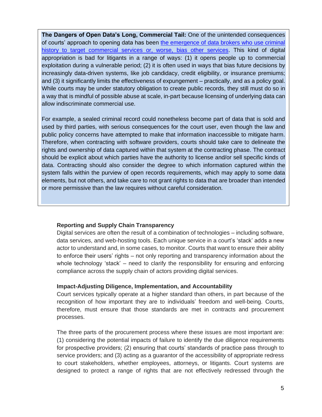**The Dangers of Open Data's Long, Commercial Tail:** One of the unintended consequences of courts' approach to opening data has been [the emergence of data brokers who use criminal](https://www.wired.com/story/criminal-justice-transparency-law-data-brokers/)  [history to target commercial services or, worse, bias other services.](https://www.wired.com/story/criminal-justice-transparency-law-data-brokers/) This kind of digital appropriation is bad for litigants in a range of ways: (1) it opens people up to commercial exploitation during a vulnerable period; (2) it is often used in ways that bias future decisions by increasingly data-driven systems, like job candidacy, credit eligibility, or insurance premiums; and (3) it significantly limits the effectiveness of expungement – practically, and as a policy goal. While courts may be under statutory obligation to create public records, they still must do so in a way that is mindful of possible abuse at scale, in-part because licensing of underlying data can allow indiscriminate commercial use.

For example, a sealed criminal record could nonetheless become part of data that is sold and used by third parties, with serious consequences for the court user, even though the law and public policy concerns have attempted to make that information inaccessible to mitigate harm. Therefore, when contracting with software providers, courts should take care to delineate the rights and ownership of data captured within that system at the contracting phase. The contract should be explicit about which parties have the authority to license and/or sell specific kinds of data. Contracting should also consider the degree to which information captured within the system falls within the purview of open records requirements, which may apply to some data elements, but not others, and take care to not grant rights to data that are broader than intended or more permissive than the law requires without careful consideration.

### <span id="page-6-0"></span>**Reporting and Supply Chain Transparency**

Digital services are often the result of a combination of technologies – including software, data services, and web-hosting tools. Each unique service in a court's 'stack' adds a new actor to understand and, in some cases, to monitor. Courts that want to ensure their ability to enforce their users' rights – not only reporting and transparency information about the whole technology 'stack' – need to clarify the responsibility for ensuring and enforcing compliance across the supply chain of actors providing digital services.

### <span id="page-6-1"></span>**Impact-Adjusting Diligence, Implementation, and Accountability**

Court services typically operate at a higher standard than others, in part because of the recognition of how important they are to individuals' freedom and well-being. Courts, therefore, must ensure that those standards are met in contracts and procurement processes.

The three parts of the procurement process where these issues are most important are: (1) considering the potential impacts of failure to identify the due diligence requirements for prospective providers; (2) ensuring that courts' standards of practice pass through to service providers; and (3) acting as a guarantor of the accessibility of appropriate redress to court stakeholders, whether employees, attorneys, or litigants. Court systems are designed to protect a range of rights that are not effectively redressed through the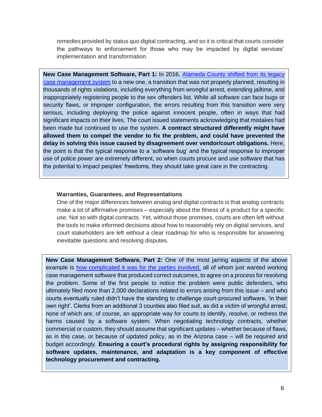remedies provided by status quo digital contracting, and so it is critical that courts consider the pathways to enforcement for those who may be impacted by digital services' implementation and transformation.

New Case Management Software, Part 1: In 2016, Alameda County shifted from its legacy [case management system](https://arstechnica.com/tech-policy/2017/02/inadequate-court-software-still-gets-people-wrongly-arrested-lawyers-say/) to a new one, a transition that was not properly planned, resulting in thousands of rights violations, including everything from wrongful arrest, extending jailtime, and inappropriately registering people to the sex offenders list. While all software can face bugs or security flaws, or improper configuration, the errors resulting from this transition were very serious, including deploying the police against innocent people, often in ways that had significant impacts on their lives. The court issued statements acknowledging that mistakes had been made but continued to use the system. **A contract structured differently might have allowed them to compel the vendor to fix the problem, and could have prevented the delay in solving this issue caused by disagreement over vendor/court obligations.** Here, the point is that the typical response to a 'software bug' and the typical response to improper use of police power are extremely different, so when courts procure and use software that has the potential to impact peoples' freedoms, they should take great care in the contracting.

#### <span id="page-7-0"></span>**Warranties, Guarantees, and Representations**

One of the major differences between analog and digital contracts is that analog contracts make a lot of affirmative promises – especially about the fitness of a product for a specific use. Not so with digital contracts. Yet, without those promises, courts are often left without the tools to make informed decisions about how to reasonably rely on digital services, and court stakeholders are left without a clear roadmap for who is responsible for answering inevitable questions and resolving disputes.

**New Case Management Software, Part 2:** One of the most jarring aspects of the above example is [how complicated it was for the parties involved,](https://arstechnica.com/tech-policy/2017/06/appeals-court-public-defender-lacks-standing-in-dispute-over-court-software/) all of whom just wanted working case management software that produced correct outcomes, to agree on a process for resolving the problem. Some of the first people to notice the problem were public defenders, who ultimately filed more than 2,000 declarations related to errors arising from this issue – and who courts eventually ruled didn't have the standing to challenge court-procured software, 'in their own right'. Clerks from an additional 3 counties also filed suit, as did a victim of wrongful arrest, none of which are, of course, an appropriate way for courts to identify, resolve, or redress the harms caused by a software system. When negotiating technology contracts, whether commercial or custom, they should assume that significant updates – whether because of flaws, as in this case, or because of updated policy, as in the Arizona case – will be required and budget accordingly. **Ensuring a court's procedural rights by assigning responsibility for software updates, maintenance, and adaptation is a key component of effective technology procurement and contracting.**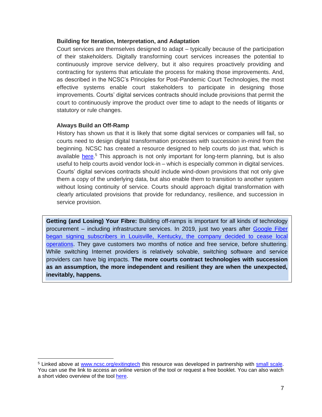### <span id="page-8-0"></span>**Building for Iteration, Interpretation, and Adaptation**

Court services are themselves designed to adapt – typically because of the participation of their stakeholders. Digitally transforming court services increases the potential to continuously improve service delivery, but it also requires proactively providing and contracting for systems that articulate the process for making those improvements. And, as described in the NCSC's Principles for Post-Pandemic Court Technologies, the most effective systems enable court stakeholders to participate in designing those improvements. Courts' digital services contracts should include provisions that permit the court to continuously improve the product over time to adapt to the needs of litigants or statutory or rule changes.

## <span id="page-8-1"></span>**Always Build an Off-Ramp**

History has shown us that it is likely that some digital services or companies will fail, so courts need to design digital transformation processes with succession in-mind from the beginning. NCSC has created a resource designed to help courts do just that, which is available [here.](http://www.ncsc.org/exitingtech)<sup>5</sup> This approach is not only important for long-term planning, but is also useful to help courts avoid vendor lock-in – which is especially common in digital services. Courts' digital services contracts should include wind-down provisions that not only give them a copy of the underlying data, but also enable them to transition to another system without losing continuity of service. Courts should approach digital transformation with clearly articulated provisions that provide for redundancy, resilience, and succession in service provision.

**Getting (and Losing) Your Fibre:** Building off-ramps is important for all kinds of technology procurement – including infrastructure services. In 2019, just two years after [Google Fiber](https://www.theverge.com/2019/4/16/18381466/google-fiber-louisville-kentucky-3-84-million-road-repair-shallow-trenching-service-cancelled)  [began signing subscribers in Louisville, Kentucky, the company decided to cease local](https://www.theverge.com/2019/4/16/18381466/google-fiber-louisville-kentucky-3-84-million-road-repair-shallow-trenching-service-cancelled)  [operations.](https://www.theverge.com/2019/4/16/18381466/google-fiber-louisville-kentucky-3-84-million-road-repair-shallow-trenching-service-cancelled) They gave customers two months of notice and free service, before shuttering. While switching Internet providers is relatively solvable, switching software and service providers can have big impacts. **The more courts contract technologies with succession as an assumption, the more independent and resilient they are when the unexpected, inevitably, happens.** 

<sup>5</sup> Linked above at [www.ncsc.org/exitingtech](http://www.ncsc.org/exitingtech) this resource was developed in partnership with [small scale.](https://consulting.smallscale.org/) You can use the link to access an online version of the tool or request a free booklet. You can also watch a short video overview of the tool [here.](https://vimeo.com/689448801?embedded=true&source=video_title&owner=11964368)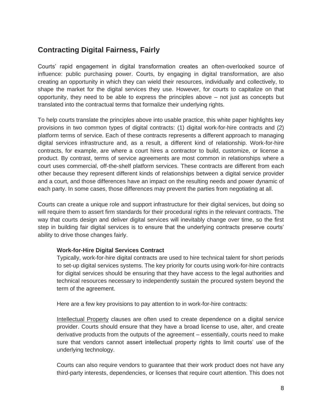# <span id="page-9-0"></span>**Contracting Digital Fairness, Fairly**

Courts' rapid engagement in digital transformation creates an often-overlooked source of influence: public purchasing power. Courts, by engaging in digital transformation, are also creating an opportunity in which they can wield their resources, individually and collectively, to shape the market for the digital services they use. However, for courts to capitalize on that opportunity, they need to be able to express the principles above – not just as concepts but translated into the contractual terms that formalize their underlying rights.

To help courts translate the principles above into usable practice, this white paper highlights key provisions in two common types of digital contracts: (1) digital work-for-hire contracts and (2) platform terms of service. Each of these contracts represents a different approach to managing digital services infrastructure and, as a result, a different kind of relationship. Work-for-hire contracts, for example, are where a court hires a contractor to build, customize, or license a product. By contrast, terms of service agreements are most common in relationships where a court uses commercial, off-the-shelf platform services. These contracts are different from each other because they represent different kinds of relationships between a digital service provider and a court, and those differences have an impact on the resulting needs and power dynamic of each party. In some cases, those differences may prevent the parties from negotiating at all.

Courts can create a unique role and support infrastructure for their digital services, but doing so will require them to assert firm standards for their procedural rights in the relevant contracts. The way that courts design and deliver digital services will inevitably change over time, so the first step in building fair digital services is to ensure that the underlying contracts preserve courts' ability to drive those changes fairly.

### <span id="page-9-1"></span>**Work-for-Hire Digital Services Contract**

Typically, work-for-hire digital contracts are used to hire technical talent for short periods to set-up digital services systems. The key priority for courts using work-for-hire contracts for digital services should be ensuring that they have access to the legal authorities and technical resources necessary to independently sustain the procured system beyond the term of the agreement.

Here are a few key provisions to pay attention to in work-for-hire contracts:

Intellectual Property clauses are often used to create dependence on a digital service provider. Courts should ensure that they have a broad license to use, alter, and create derivative products from the outputs of the agreement – essentially, courts need to make sure that vendors cannot assert intellectual property rights to limit courts' use of the underlying technology.

Courts can also require vendors to guarantee that their work product does not have any third-party interests, dependencies, or licenses that require court attention. This does not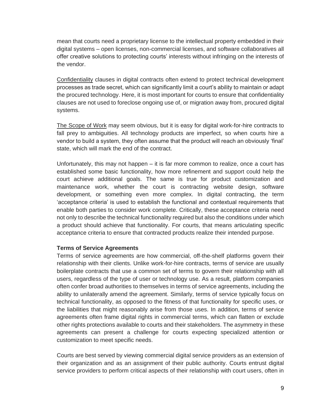mean that courts need a proprietary license to the intellectual property embedded in their digital systems – open licenses, non-commercial licenses, and software collaboratives all offer creative solutions to protecting courts' interests without infringing on the interests of the vendor.

Confidentiality clauses in digital contracts often extend to protect technical development processes as trade secret, which can significantly limit a court's ability to maintain or adapt the procured technology. Here, it is most important for courts to ensure that confidentiality clauses are not used to foreclose ongoing use of, or migration away from, procured digital systems.

The Scope of Work may seem obvious, but it is easy for digital work-for-hire contracts to fall prey to ambiguities. All technology products are imperfect, so when courts hire a vendor to build a system, they often assume that the product will reach an obviously 'final' state, which will mark the end of the contract.

Unfortunately, this may not happen – it is far more common to realize, once a court has established some basic functionality, how more refinement and support could help the court achieve additional goals. The same is true for product customization and maintenance work, whether the court is contracting website design, software development, or something even more complex. In digital contracting, the term 'acceptance criteria' is used to establish the functional and contextual requirements that enable both parties to consider work complete. Critically, these acceptance criteria need not only to describe the technical functionality required but also the conditions under which a product should achieve that functionality. For courts, that means articulating specific acceptance criteria to ensure that contracted products realize their intended purpose.

### <span id="page-10-0"></span>**Terms of Service Agreements**

Terms of service agreements are how commercial, off-the-shelf platforms govern their relationship with their clients. Unlike work-for-hire contracts, terms of service are usually boilerplate contracts that use a common set of terms to govern their relationship with all users, regardless of the type of user or technology use. As a result, platform companies often confer broad authorities to themselves in terms of service agreements, including the ability to unilaterally amend the agreement. Similarly, terms of service typically focus on technical functionality, as opposed to the fitness of that functionality for specific uses, or the liabilities that might reasonably arise from those uses. In addition, terms of service agreements often frame digital rights in commercial terms, which can flatten or exclude other rights protections available to courts and their stakeholders. The asymmetry in these agreements can present a challenge for courts expecting specialized attention or customization to meet specific needs.

Courts are best served by viewing commercial digital service providers as an extension of their organization and as an assignment of their public authority. Courts entrust digital service providers to perform critical aspects of their relationship with court users, often in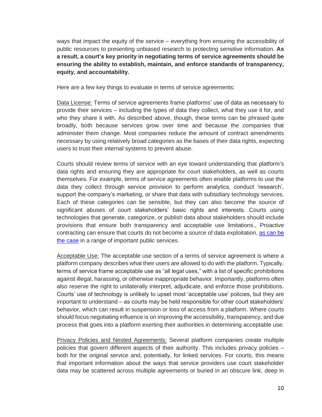ways that impact the equity of the service – everything from ensuring the accessibility of public resources to presenting unbiased research to protecting sensitive information. **As a result, a court's key priority in negotiating terms of service agreements should be ensuring the ability to establish, maintain, and enforce standards of transparency, equity, and accountability.** 

Here are a few key things to evaluate in terms of service agreements:

Data License: Terms of service agreements frame platforms' use of data as necessary to provide their services – including the types of data they collect, what they use it for, and who they share it with. As described above, though, these terms can be phrased quite broadly, both because services grow over time and because the companies that administer them change. Most companies reduce the amount of contract amendments necessary by using relatively broad categories as the bases of their data rights, expecting users to trust their internal systems to prevent abuse.

Courts should review terms of service with an eye toward understanding that platform's data rights and ensuring they are appropriate for court stakeholders, as well as courts themselves. For example, terms of service agreements often enable platforms to use the data they collect through service provision to perform analytics, conduct 'research', support the company's marketing, or share that data with subsidiary technology services. Each of these categories can be sensible, but they can also become the source of significant abuses of court stakeholders' basic rights and interests. Courts using technologies that generate, categorize, or publish data about stakeholders should include provisions that ensure both transparency and acceptable use limitations., Proactive contracting can ensure that courts do not become a source of data exploitation, [as can be](https://www.cigionline.org/articles/a-crisis-of-loyalty/)  [the case](https://www.cigionline.org/articles/a-crisis-of-loyalty/) in a range of important public services.

Acceptable Use: The acceptable use section of a terms of service agreement is where a platform company describes what their users are allowed to do with the platform. Typically, terms of service frame acceptable use as "all legal uses," with a list of specific prohibitions against illegal, harassing, or otherwise inappropriate behavior. Importantly, platforms often also reserve the right to unilaterally interpret, adjudicate, and enforce those prohibitions. Courts' use of technology is unlikely to upset most 'acceptable use' policies, but they are important to understand – as courts may be held responsible for other court stakeholders' behavior, which can result in suspension or loss of access from a platform. Where courts should focus negotiating influence is on improving the accessibility, transparency, and due process that goes into a platform exerting their authorities in determining acceptable use.

Privacy Policies and Nested Agreements: Several platform companies create multiple policies that govern different aspects of their authority. This includes privacy policies – both for the original service and, potentially, for linked services. For courts, this means that important information about the ways that service providers use court stakeholder data may be scattered across multiple agreements or buried in an obscure link, deep in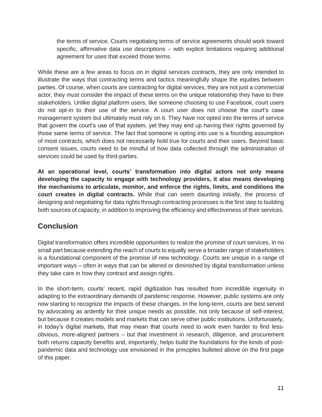the terms of service. Courts negotiating terms of service agreements should work toward specific, affirmative data use descriptions – with explicit limitations requiring additional agreement for uses that exceed those terms.

While these are a few areas to focus on in digital services contracts, they are only intended to illustrate the ways that contracting terms and tactics meaningfully shape the equities between parties. Of course, when courts are contracting for digital services, they are not just a commercial actor, they must consider the impact of these terms on the unique relationship they have to their stakeholders. Unlike digital platform users, like someone choosing to use Facebook, court users do not opt-in to their use of the service. A court user does not choose the court's case management system but ultimately must rely on it. They have not opted into the terms of service that govern the court's use of that system, yet they may end up having their rights governed by those same terms of service. The fact that someone is opting into use is a founding assumption of most contracts, which does not necessarily hold true for courts and their users. Beyond basic consent issues, courts need to be mindful of how data collected through the administration of services could be used by third-parties.

**At an operational level, courts' transformation into digital actors not only means developing the capacity to engage with technology providers, it also means developing the mechanisms to articulate, monitor, and enforce the rights, limits, and conditions the court creates in digital contracts.** While that can seem daunting initially, the process of designing and negotiating for data rights through contracting processes is the first step to building both sources of capacity, in addition to improving the efficiency and effectiveness of their services.

# <span id="page-12-0"></span>**Conclusion**

Digital transformation offers incredible opportunities to realize the promise of court services, in no small part because extending the reach of courts to equally serve a broader range of stakeholders is a foundational component of the promise of new technology. Courts are unique in a range of important ways – often in ways that can be altered or diminished by digital transformation unless they take care in how they contract and assign rights.

In the short-term, courts' recent, rapid digitization has resulted from incredible ingenuity in adapting to the extraordinary demands of pandemic response. However, public systems are only now starting to recognize the impacts of these changes. In the long-term, courts are best served by advocating as ardently for their unique needs as possible, not only because of self-interest, but because it creates models and markets that can serve other public institutions. Unfortunately, in today's digital markets, that may mean that courts need to work even harder to find lessobvious, more-aligned partners – but that investment in research, diligence, and procurement both returns capacity benefits and, importantly, helps build the foundations for the kinds of postpandemic data and technology use envisioned in the principles bulleted above on the first page of this paper.